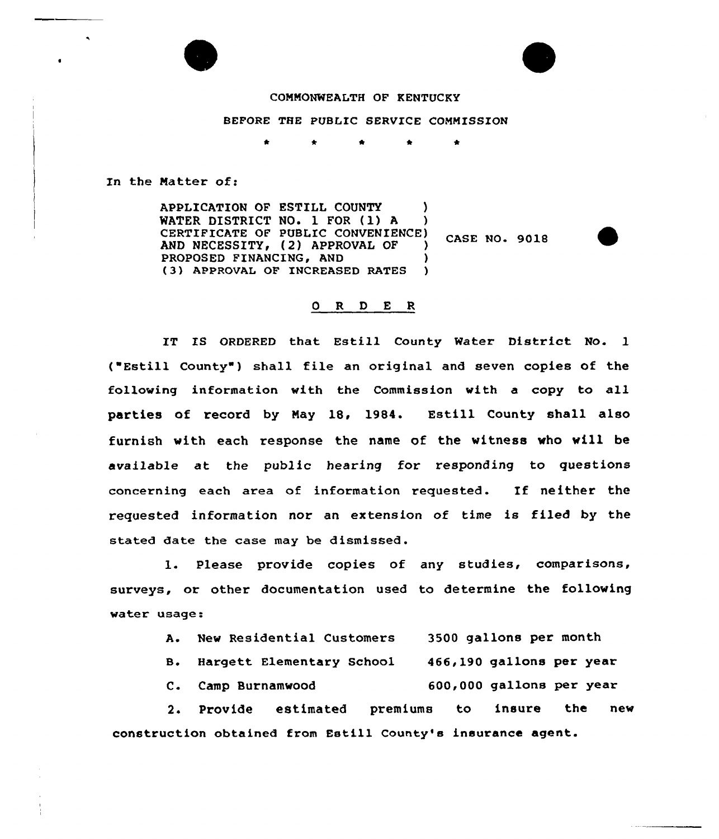

## COMMONWEALTH OF KENTUCKY

## BEFORE THE PUBLIC SERVICE COMMISSION

In the Matter of:

APPLICATION OF ESTILL COUNTY )<br>WATER DISTRICT NO. 1 FOR (1) A ) WATER DISTRICT NO. 1 FOR (1) A CERTIFICATE OF PUBLIC CONVENIENCE) **CASE NO. 9018** AND NECESSITY, (2) APPROVAL OF ) PROPOSED FINANCING, AND ) (3) APPROUAL OF INCREASED RATES )

## 0 R <sup>D</sup> E R

IT IS ORDERED that Estill County Water District No. 1 ("Estill County") shall file an original and seven copies of the following information with the Commission with a copy to all parties of record by May 18, 1984. Estill County shall also furnish with each response the name of the witness who will be available at the public hearing for responding to questions concerning each area of information requested. If neither the requested information nor an extension of time is filed by the stated date the case may be dismissed.

1. Please provide copies of any studies, comparisons, surveys, or other documentation used to determine the following water usage:

| 3500 gallons per month<br>A. New Residential Customers |  |
|--------------------------------------------------------|--|
|--------------------------------------------------------|--|

- B. Hargett Elementary School 466,190 gallons per year
- C. Camp Burnamwood 600,000 gallons per year

2. Provide estimated premiums to insure the new construction obtained from Estill County's insurance agent.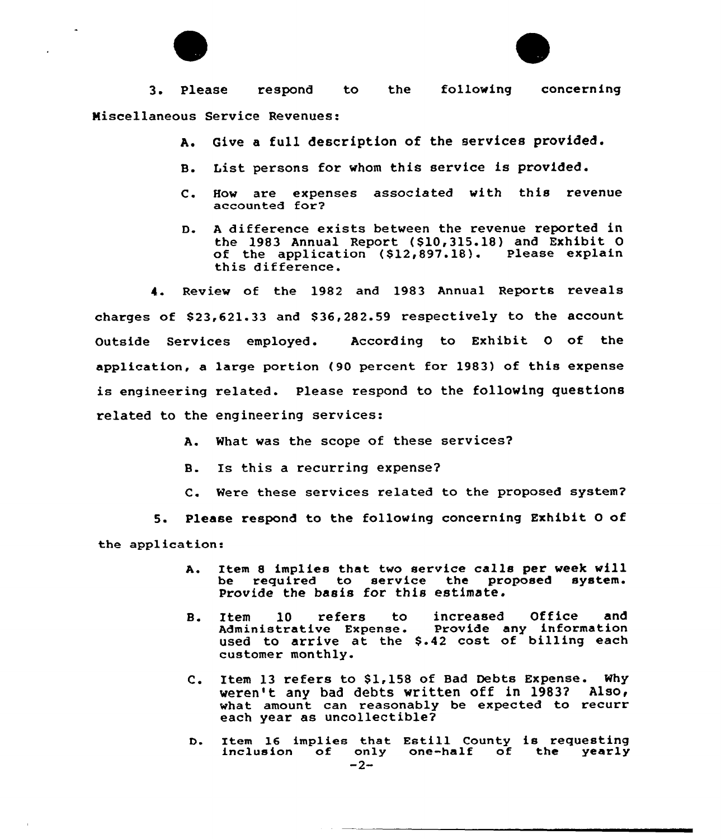



3. Please respond to the following concerning Miscellaneous Service Revenues:

- A. Give a full description of the services provided.
- B. List persons for whom this service is provided.
- C. How are expenses associated with this revenue accounted for?
- D. A difference exists between the revenue reported in the 1983 Annual Report (S10,315.18) and Exhibit 0 of the application (\$12,897.18). Please explain this difference.

4. Review of the 1982 and 1983 Annual Reports reveals charges of 823,621.33 and \$ 36,282.59 respectively to the account Outside Services employed. According to Exhibit 0 of the application, a large portion (90 percent. for 1983) of this expense is engineering related. please respond to the following questions related to the engineering services:

- A. What was the scope of these services?
- B. Is this a recurring expense?
- C. Were these services related to the proposed system?

5. Please respond to the following concerning Exhibit 0 of the application:

- A. Item <sup>8</sup> implies that two service calls per week will be required to service the proposed system. Provide the basis for this estimate.
- B. Item 10 refers to increased Office and<br>Administrative Expense. Provide any information Administrative Expense. used to arrive at the \$.42 cost of billing each customer monthly.
- C. Item 13 refers to \$1,158 of Bad Debts Expense. Why weren't any bad debts written off in 1983? Also< what amount can reasonably be expected to recurr each year as uncollectible?
- D. Item 16 implies that Estill County is requesting<br>inclusion of only one-half of the yearly<br>-2-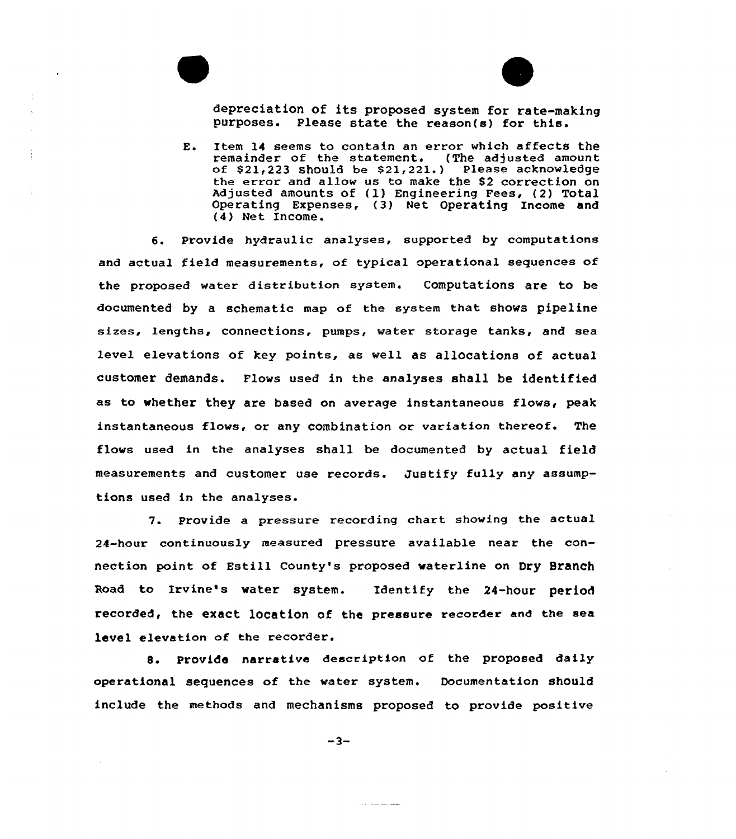



depreciation of its proposed system for rate-making purposes. Please state the reason(s) for this.

E. Item 14 seems to contain an error which affects the remainder of the statement. (The adjusted amount of  $$21,223$  should be  $$21,221$ .) Please acknowledge the error and allow us to make the \$2 correction on Adjusted amounts of {1) Engineering Fees, (2) Total Operating Expenses, (3) Net Operating Income and (4) Net Income.

6. Provide hydraulic analyses, supported by computations and actual field measurements, of typical operational sequences of the proposed water distribution system. Computations are to be documented by a schematic map of the system that shows pipeline sizes, lengths, connections, pumps, water storage tanks, and sea level elevations of key points, as well as allocations of actual customer demands. Flows used in the analyses shall be identified as to whether they are based on average instantaneous flows, peak instantaneous flows, or any combination or variation thereof. The flows used in the analyses shall be documented by actual field measurements and customer use records. Justify fully any assumptions used in the analyses.

7. Provide a pressure recording chart showing the actual 24-hour continuously measured pressure available near the connection point of Estill County's proposed waterline on Dry Branch Road to Irvine's water system. Identify the 24-hour period recorded, the exact location of the pressure recorder and the sea level elevation of the recorder.

8. Provide narrative description of the proposed daily operational sequences of the water system. Documentation should include the methods and mechanisms proposed to provide positive

 $-3-$ 

 $\alpha$  ,  $\beta$  is the continuous masses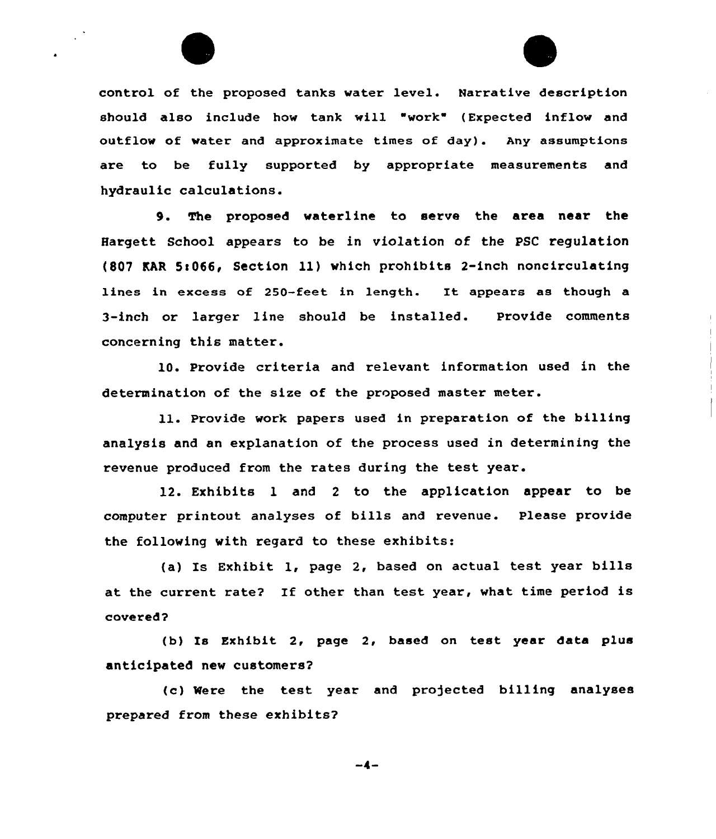

control of the proposed tanks water level. Narrative description should also include how tank will "work" (Expected inflow and outflow of water and approximate times of day). Any assumptions are to be fully supported by appropriate measurements and hydraulic calculations.

9. The proposed waterline to serve the area near the Hargett School appears to be in violation of the PSC regulation (807 EAR 5!066< Section 11) which prohibits 2-inch noncirculating lines in excess of 250-feet in length. It appears as though a 3-inch or larger line should be installed. Provide comments concerning this matter.

10. Provide criteria and relevant information used in the determination of the size of the proposed master meter.

ll. Pxovide work papexs used in preparation of the billing analysis and an explanation of the process used in determining the revenue produced from the rates during the test year.

12. Exhibits 1 and <sup>2</sup> to the application appear to be computer printout analyses of bills and revenue. Please provide the following with regard to these exhibits:

(a) Is Exhibit 1, page 2, based on actual test year bills at the current rate? If other than test year, what time period is covered?

(b) Is Exhibit 2, page 2, based on test year data plus anticipated new customers?

(c) Were the test year and projected billing analyses prepared from these exhibits?

 $-4-$